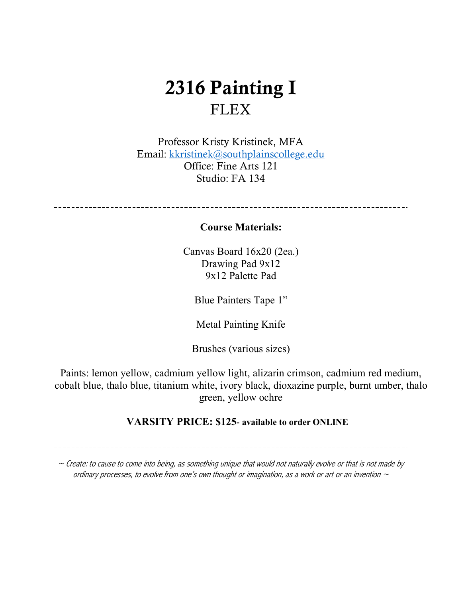## 2316 Painting I **FLEX**

Professor Kristy Kristinek, MFA Email: kkristinek@southplainscollege.edu Office: Fine Arts 121 Studio: FA 134

#### **Course Materials:**

Canvas Board 16x20 (2ea.) Drawing Pad 9x12 9x12 Palette Pad

Blue Painters Tape 1"

Metal Painting Knife

Brushes (various sizes)

Paints: lemon yellow, cadmium yellow light, alizarin crimson, cadmium red medium, cobalt blue, thalo blue, titanium white, ivory black, dioxazine purple, burnt umber, thalo green, yellow ochre

#### **VARSITY PRICE: \$125- available to order ONLINE**

 $\sim$  Create: to cause to come into being, as something unique that would not naturally evolve or that is not made by ordinary processes, to evolve from one's own thought or imagination, as a work or art or an invention  $\sim$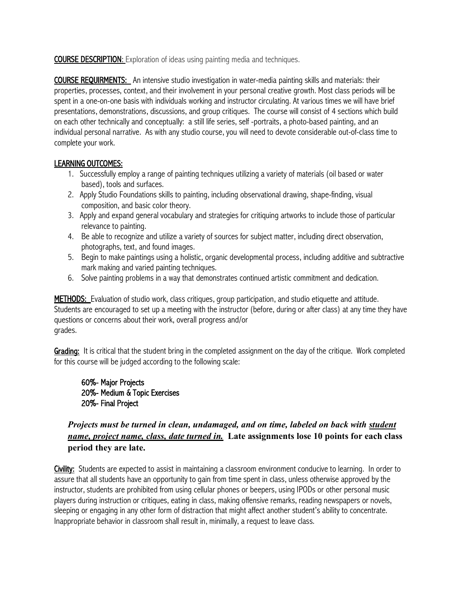**COURSE DESCRIPTION:** Exploration of ideas using painting media and techniques.

COURSE REQUIRMENTS: An intensive studio investigation in water-media painting skills and materials: their properties, processes, context, and their involvement in your personal creative growth. Most class periods will be spent in a one-on-one basis with individuals working and instructor circulating. At various times we will have brief presentations, demonstrations, discussions, and group critiques. The course will consist of 4 sections which build on each other technically and conceptually: a still life series, self -portraits, a photo-based painting, and an individual personal narrative. As with any studio course, you will need to devote considerable out-of-class time to complete your work.

#### LEARNING OUTCOMES:

- 1. Successfully employ a range of painting techniques utilizing a variety of materials (oil based or water based), tools and surfaces.
- 2. Apply Studio Foundations skills to painting, including observational drawing, shape-finding, visual composition, and basic color theory.
- 3. Apply and expand general vocabulary and strategies for critiquing artworks to include those of particular relevance to painting.
- 4. Be able to recognize and utilize a variety of sources for subject matter, including direct observation, photographs, text, and found images.
- 5. Begin to make paintings using a holistic, organic developmental process, including additive and subtractive mark making and varied painting techniques.
- 6. Solve painting problems in a way that demonstrates continued artistic commitment and dedication.

METHODS: Evaluation of studio work, class critiques, group participation, and studio etiquette and attitude. Students are encouraged to set up a meeting with the instructor (before, during or after class) at any time they have questions or concerns about their work, overall progress and/or grades.

Grading: It is critical that the student bring in the completed assignment on the day of the critique. Work completed for this course will be judged according to the following scale:

60%- Major Projects 20%- Medium & Topic Exercises 20%- Final Project

#### *Projects must be turned in clean, undamaged, and on time, labeled on back with student name, project name, class, date turned in.* **Late assignments lose 10 points for each class period they are late.**

Civility: Students are expected to assist in maintaining a classroom environment conducive to learning. In order to assure that all students have an opportunity to gain from time spent in class, unless otherwise approved by the instructor, students are prohibited from using cellular phones or beepers, using IPODs or other personal music players during instruction or critiques, eating in class, making offensive remarks, reading newspapers or novels, sleeping or engaging in any other form of distraction that might affect another student's ability to concentrate. Inappropriate behavior in classroom shall result in, minimally, a request to leave class.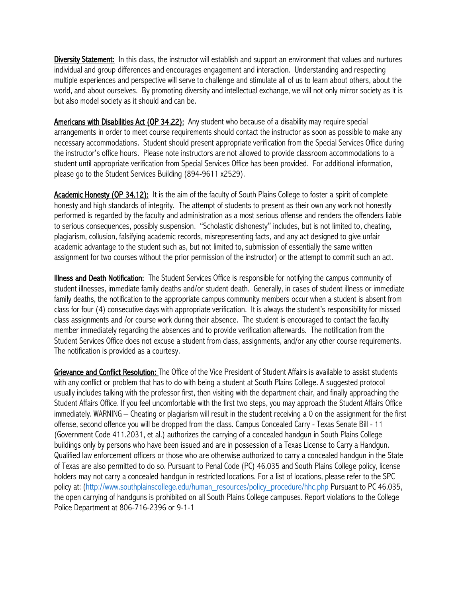Diversity Statement: In this class, the instructor will establish and support an environment that values and nurtures individual and group differences and encourages engagement and interaction. Understanding and respecting multiple experiences and perspective will serve to challenge and stimulate all of us to learn about others, about the world, and about ourselves. By promoting diversity and intellectual exchange, we will not only mirror society as it is but also model society as it should and can be.

Americans with Disabilities Act (OP 34.22): Any student who because of a disability may require special arrangements in order to meet course requirements should contact the instructor as soon as possible to make any necessary accommodations. Student should present appropriate verification from the Special Services Office during the instructor's office hours. Please note instructors are not allowed to provide classroom accommodations to a student until appropriate verification from Special Services Office has been provided. For additional information, please go to the Student Services Building (894-9611 x2529).

Academic Honesty (OP 34.12): It is the aim of the faculty of South Plains College to foster a spirit of complete honesty and high standards of integrity. The attempt of students to present as their own any work not honestly performed is regarded by the faculty and administration as a most serious offense and renders the offenders liable to serious consequences, possibly suspension. "Scholastic dishonesty" includes, but is not limited to, cheating, plagiarism, collusion, falsifying academic records, misrepresenting facts, and any act designed to give unfair academic advantage to the student such as, but not limited to, submission of essentially the same written assignment for two courses without the prior permission of the instructor) or the attempt to commit such an act.

Illness and Death Notification: The Student Services Office is responsible for notifying the campus community of student illnesses, immediate family deaths and/or student death. Generally, in cases of student illness or immediate family deaths, the notification to the appropriate campus community members occur when a student is absent from class for four (4) consecutive days with appropriate verification. It is always the student's responsibility for missed class assignments and /or course work during their absence. The student is encouraged to contact the faculty member immediately regarding the absences and to provide verification afterwards. The notification from the Student Services Office does not excuse a student from class, assignments, and/or any other course requirements. The notification is provided as a courtesy.

Grievance and Conflict Resolution: The Office of the Vice President of Student Affairs is available to assist students with any conflict or problem that has to do with being a student at South Plains College. A suggested protocol usually includes talking with the professor first, then visiting with the department chair, and finally approaching the Student Affairs Office. If you feel uncomfortable with the first two steps, you may approach the Student Affairs Office immediately. WARNING – Cheating or plagiarism will result in the student receiving a 0 on the assignment for the first offense, second offence you will be dropped from the class. Campus Concealed Carry - Texas Senate Bill - 11 (Government Code 411.2031, et al.) authorizes the carrying of a concealed handgun in South Plains College buildings only by persons who have been issued and are in possession of a Texas License to Carry a Handgun. Qualified law enforcement officers or those who are otherwise authorized to carry a concealed handgun in the State of Texas are also permitted to do so. Pursuant to Penal Code (PC) 46.035 and South Plains College policy, license holders may not carry a concealed handgun in restricted locations. For a list of locations, please refer to the SPC policy at: (http://www.southplainscollege.edu/human\_resources/policy\_procedure/hhc.php Pursuant to PC 46.035, the open carrying of handguns is prohibited on all South Plains College campuses. Report violations to the College Police Department at 806-716-2396 or 9-1-1